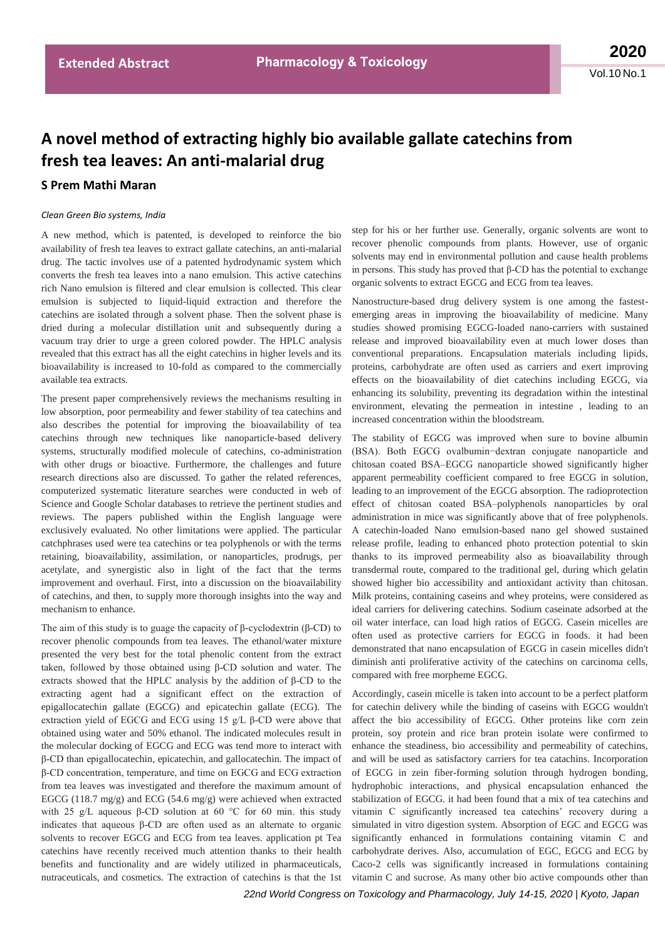## **A novel method of extracting highly bio available gallate catechins from fresh tea leaves: An anti-malarial drug**

## **S Prem Mathi Maran**

## *Clean Green Bio systems, India*

A new method, which is patented, is developed to reinforce the bio availability of fresh tea leaves to extract gallate catechins, an anti-malarial drug. The tactic involves use of a patented hydrodynamic system which converts the fresh tea leaves into a nano emulsion. This active catechins rich Nano emulsion is filtered and clear emulsion is collected. This clear emulsion is subjected to liquid-liquid extraction and therefore the catechins are isolated through a solvent phase. Then the solvent phase is dried during a molecular distillation unit and subsequently during a vacuum tray drier to urge a green colored powder. The HPLC analysis revealed that this extract has all the eight catechins in higher levels and its bioavailability is increased to 10-fold as compared to the commercially available tea extracts.

The present paper comprehensively reviews the mechanisms resulting in low absorption, poor permeability and fewer stability of tea catechins and also describes the potential for improving the bioavailability of tea catechins through new techniques like nanoparticle-based delivery systems, structurally modified molecule of catechins, co-administration with other drugs or bioactive. Furthermore, the challenges and future research directions also are discussed. To gather the related references, computerized systematic literature searches were conducted in web of Science and Google Scholar databases to retrieve the pertinent studies and reviews. The papers published within the English language were exclusively evaluated. No other limitations were applied. The particular catchphrases used were tea catechins or tea polyphenols or with the terms retaining, bioavailability, assimilation, or nanoparticles, prodrugs, per acetylate, and synergistic also in light of the fact that the terms improvement and overhaul. First, into a discussion on the bioavailability of catechins, and then, to supply more thorough insights into the way and mechanism to enhance.

The aim of this study is to guage the capacity of β-cyclodextrin (β-CD) to recover phenolic compounds from tea leaves. The ethanol/water mixture presented the very best for the total phenolic content from the extract taken, followed by those obtained using β‐CD solution and water. The extracts showed that the HPLC analysis by the addition of β‐CD to the extracting agent had a significant effect on the extraction of epigallocatechin gallate (EGCG) and epicatechin gallate (ECG). The extraction yield of EGCG and ECG using 15 g/L β-CD were above that obtained using water and 50% ethanol. The indicated molecules result in the molecular docking of EGCG and ECG was tend more to interact with β‐CD than epigallocatechin, epicatechin, and gallocatechin. The impact of β‐CD concentration, temperature, and time on EGCG and ECG extraction from tea leaves was investigated and therefore the maximum amount of EGCG (118.7 mg/g) and ECG (54.6 mg/g) were achieved when extracted with 25 g/L aqueous β-CD solution at 60 °C for 60 min. this study indicates that aqueous β-CD are often used as an alternate to organic solvents to recover EGCG and ECG from tea leaves. application pt Tea catechins have recently received much attention thanks to their health benefits and functionality and are widely utilized in pharmaceuticals, nutraceuticals, and cosmetics. The extraction of catechins is that the 1st

step for his or her further use. Generally, organic solvents are wont to recover phenolic compounds from plants. However, use of organic solvents may end in environmental pollution and cause health problems in persons. This study has proved that β‐CD has the potential to exchange organic solvents to extract EGCG and ECG from tea leaves.

Nanostructure-based drug delivery system is one among the fastestemerging areas in improving the bioavailability of medicine. Many studies showed promising EGCG-loaded nano-carriers with sustained release and improved bioavailability even at much lower doses than conventional preparations. Encapsulation materials including lipids, proteins, carbohydrate are often used as carriers and exert improving effects on the bioavailability of diet catechins including EGCG, via enhancing its solubility, preventing its degradation within the intestinal environment, elevating the permeation in intestine , leading to an increased concentration within the bloodstream.

The stability of EGCG was improved when sure to bovine albumin (BSA). Both EGCG ovalbumin−dextran conjugate nanoparticle and chitosan coated BSA–EGCG nanoparticle showed significantly higher apparent permeability coefficient compared to free EGCG in solution, leading to an improvement of the EGCG absorption. The radioprotection effect of chitosan coated BSA–polyphenols nanoparticles by oral administration in mice was significantly above that of free polyphenols. A catechin-loaded Nano emulsion-based nano gel showed sustained release profile, leading to enhanced photo protection potential to skin thanks to its improved permeability also as bioavailability through transdermal route, compared to the traditional gel, during which gelatin showed higher bio accessibility and antioxidant activity than chitosan. Milk proteins, containing caseins and whey proteins, were considered as ideal carriers for delivering catechins. Sodium caseinate adsorbed at the oil water interface, can load high ratios of EGCG. Casein micelles are often used as protective carriers for EGCG in foods. it had been demonstrated that nano encapsulation of EGCG in casein micelles didn't diminish anti proliferative activity of the catechins on carcinoma cells, compared with free morpheme EGCG.

Accordingly, casein micelle is taken into account to be a perfect platform for catechin delivery while the binding of caseins with EGCG wouldn't affect the bio accessibility of EGCG. Other proteins like corn zein protein, soy protein and rice bran protein isolate were confirmed to enhance the steadiness, bio accessibility and permeability of catechins, and will be used as satisfactory carriers for tea catachins. Incorporation of EGCG in zein fiber-forming solution through hydrogen bonding, hydrophobic interactions, and physical encapsulation enhanced the stabilization of EGCG. it had been found that a mix of tea catechins and vitamin C significantly increased tea catechins' recovery during a simulated in vitro digestion system. Absorption of EGC and EGCG was significantly enhanced in formulations containing vitamin C and carbohydrate derives. Also, accumulation of EGC, EGCG and ECG by Caco-2 cells was significantly increased in formulations containing vitamin C and sucrose. As many other bio active compounds other than